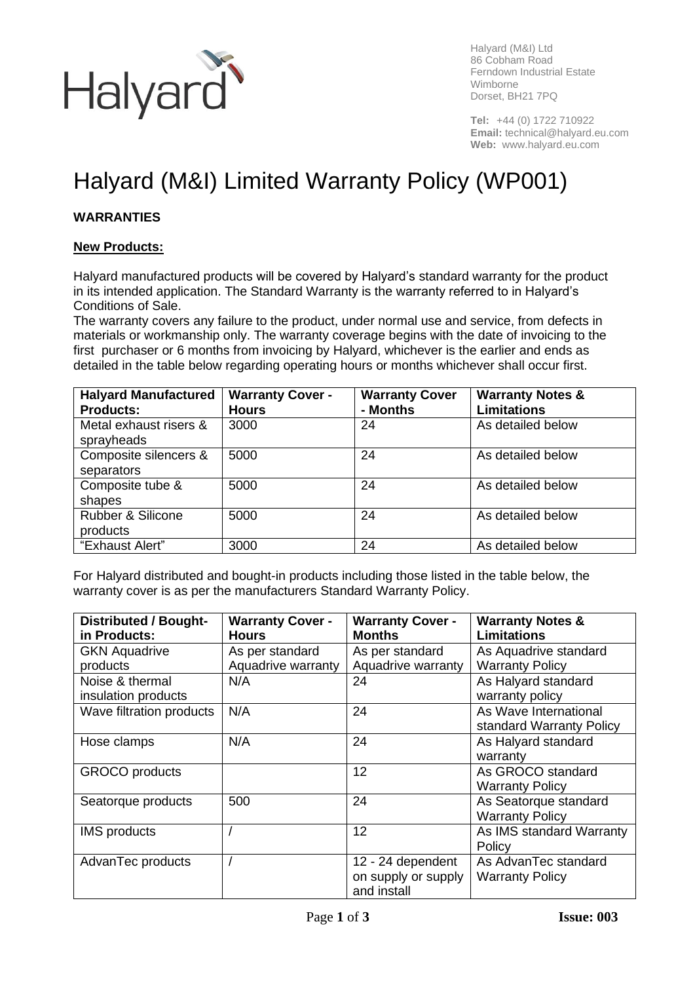

Halyard (M&I) Ltd 86 Cobham Road Ferndown Industrial Estate Wimborne Dorset, BH21 7PQ

**Tel:** +44 (0) 1722 710922 **Email:** technical@halyard.eu.com **Web:** www.halyard.eu.com

# Halyard (M&I) Limited Warranty Policy (WP001)

## **WARRANTIES**

#### **New Products:**

Halyard manufactured products will be covered by Halyard's standard warranty for the product in its intended application. The Standard Warranty is the warranty referred to in Halyard's Conditions of Sale.

The warranty covers any failure to the product, under normal use and service, from defects in materials or workmanship only. The warranty coverage begins with the date of invoicing to the first purchaser or 6 months from invoicing by Halyard, whichever is the earlier and ends as detailed in the table below regarding operating hours or months whichever shall occur first.

| <b>Halyard Manufactured</b><br><b>Products:</b> | <b>Warranty Cover -</b><br><b>Hours</b> | <b>Warranty Cover</b><br>- Months | <b>Warranty Notes &amp;</b><br><b>Limitations</b> |
|-------------------------------------------------|-----------------------------------------|-----------------------------------|---------------------------------------------------|
| Metal exhaust risers &<br>sprayheads            | 3000                                    | 24                                | As detailed below                                 |
| Composite silencers &<br>separators             | 5000                                    | 24                                | As detailed below                                 |
| Composite tube &<br>shapes                      | 5000                                    | 24                                | As detailed below                                 |
| <b>Rubber &amp; Silicone</b><br>products        | 5000                                    | 24                                | As detailed below                                 |
| "Exhaust Alert"                                 | 3000                                    | 24                                | As detailed below                                 |

For Halyard distributed and bought-in products including those listed in the table below, the warranty cover is as per the manufacturers Standard Warranty Policy.

| <b>Distributed / Bought-</b><br>in Products: | <b>Warranty Cover -</b><br><b>Hours</b> | <b>Warranty Cover -</b><br><b>Months</b> | <b>Warranty Notes &amp;</b><br><b>Limitations</b> |
|----------------------------------------------|-----------------------------------------|------------------------------------------|---------------------------------------------------|
| <b>GKN Aquadrive</b>                         | As per standard                         | As per standard                          | As Aquadrive standard                             |
| products                                     | Aquadrive warranty                      | Aquadrive warranty                       | <b>Warranty Policy</b>                            |
| Noise & thermal                              | N/A                                     | 24                                       | As Halyard standard                               |
| insulation products                          |                                         |                                          | warranty policy                                   |
| Wave filtration products                     | N/A                                     | 24                                       | As Wave International                             |
|                                              |                                         |                                          | standard Warranty Policy                          |
| Hose clamps                                  | N/A                                     | 24                                       | As Halyard standard                               |
|                                              |                                         |                                          | warranty                                          |
| <b>GROCO</b> products                        |                                         | 12                                       | As GROCO standard                                 |
|                                              |                                         |                                          | <b>Warranty Policy</b>                            |
| Seatorque products                           | 500                                     | 24                                       | As Seatorque standard                             |
|                                              |                                         |                                          | <b>Warranty Policy</b>                            |
| <b>IMS</b> products                          |                                         | 12                                       | As IMS standard Warranty                          |
|                                              |                                         |                                          | Policy                                            |
| AdvanTec products                            |                                         | 12 - 24 dependent                        | As AdvanTec standard                              |
|                                              |                                         | on supply or supply                      | <b>Warranty Policy</b>                            |
|                                              |                                         | and install                              |                                                   |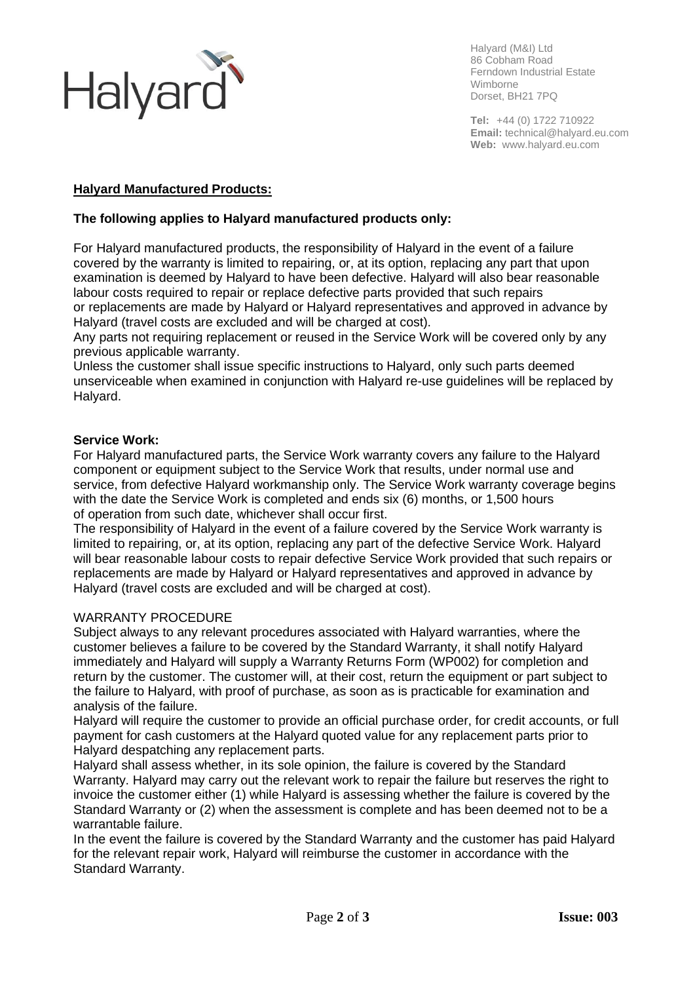

Halyard (M&I) Ltd 86 Cobham Road Ferndown Industrial Estate Wimborne Dorset, BH21 7PQ

**Tel:** +44 (0) 1722 710922 **Email:** technical@halyard.eu.com **Web:** www.halyard.eu.com

## **Halyard Manufactured Products:**

#### **The following applies to Halyard manufactured products only:**

For Halyard manufactured products, the responsibility of Halyard in the event of a failure covered by the warranty is limited to repairing, or, at its option, replacing any part that upon examination is deemed by Halyard to have been defective. Halyard will also bear reasonable labour costs required to repair or replace defective parts provided that such repairs or replacements are made by Halyard or Halyard representatives and approved in advance by Halyard (travel costs are excluded and will be charged at cost).

Any parts not requiring replacement or reused in the Service Work will be covered only by any previous applicable warranty.

Unless the customer shall issue specific instructions to Halyard, only such parts deemed unserviceable when examined in conjunction with Halyard re-use guidelines will be replaced by Halyard.

#### **Service Work:**

For Halyard manufactured parts, the Service Work warranty covers any failure to the Halyard component or equipment subject to the Service Work that results, under normal use and service, from defective Halyard workmanship only. The Service Work warranty coverage begins with the date the Service Work is completed and ends six (6) months, or 1,500 hours of operation from such date, whichever shall occur first.

The responsibility of Halyard in the event of a failure covered by the Service Work warranty is limited to repairing, or, at its option, replacing any part of the defective Service Work. Halyard will bear reasonable labour costs to repair defective Service Work provided that such repairs or replacements are made by Halyard or Halyard representatives and approved in advance by Halyard (travel costs are excluded and will be charged at cost).

#### WARRANTY PROCEDURE

Subject always to any relevant procedures associated with Halyard warranties, where the customer believes a failure to be covered by the Standard Warranty, it shall notify Halyard immediately and Halyard will supply a Warranty Returns Form (WP002) for completion and return by the customer. The customer will, at their cost, return the equipment or part subject to the failure to Halyard, with proof of purchase, as soon as is practicable for examination and analysis of the failure.

Halyard will require the customer to provide an official purchase order, for credit accounts, or full payment for cash customers at the Halyard quoted value for any replacement parts prior to Halyard despatching any replacement parts.

Halyard shall assess whether, in its sole opinion, the failure is covered by the Standard Warranty. Halyard may carry out the relevant work to repair the failure but reserves the right to invoice the customer either (1) while Halyard is assessing whether the failure is covered by the Standard Warranty or (2) when the assessment is complete and has been deemed not to be a warrantable failure.

In the event the failure is covered by the Standard Warranty and the customer has paid Halyard for the relevant repair work, Halyard will reimburse the customer in accordance with the Standard Warranty.